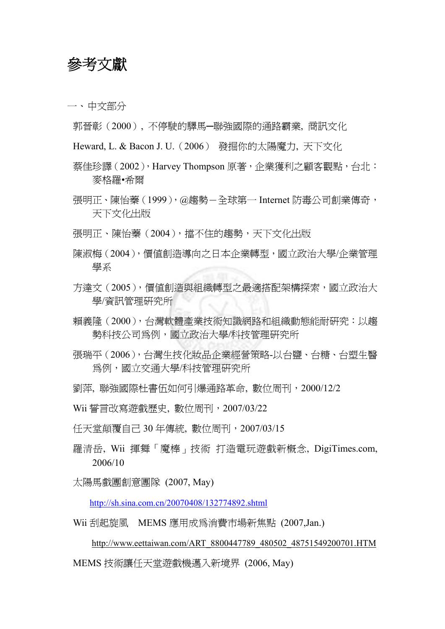## 參考文獻

一、 中文部分

郭晉彰(2000), 不停駛的驛馬─聯強國際的通路霸業, 商訊文化

Heward, L. & Bacon J. U.(2006) 發掘你的太陽魔力, 天下文化

- 蔡佳珍譯(2002),Harvey Thompson 原著,企業獲利之顧客觀點,台北: 麥格羅•希爾
- 張明正、陳怡蓁(1999),@趨勢-全球第一 Internet 防毒公司創業傳奇, 天下文化出版

張明正、陳怡蓁(2004),擋不住的趨勢,天下文化出版

- 陳淑梅(2004),價值創造導向之日本企業轉型,國立政治大學/企業管理 學系
- 方達文(2005),價值創造與組織轉型之最適搭配架構探索,國立政治大 學/資訊管理研究所
- 賴義隆(2000),台灣軟體產業技術知識網路和組織動態能耐研究:以趨 勢科技公司為例,國立政治大學/科技管理研究所
- 張瑞平(2006),台灣生技化妝品企業經營策略-以台鹽、台糖、台塑生醫 為例,國立交通大學/科技管理研究所
- 劉萍, 聯強國際杜書伍如何引爆通路革命, 數位周刊,2000/12/2

Wii 誓言改寫遊戲歷史, 數位周刊,2007/03/22

- 任天堂顛覆自己 30 年傳統, 數位周刊,2007/03/15
- 羅清岳, Wii 揮舞「魔棒」技術 打造電玩遊戲新概念, DigiTimes.com, 2006/10

太陽馬戲團創意團隊 (2007, May)

http://sh.sina.com.cn/20070408/132774892.shtml

Wii 刮起旋風 MEMS 應用成為消費市場新焦點 (2007,Jan.)

http://www.eettaiwan.com/ART\_8800447789\_480502\_48751549200701.HTM

MEMS 技術讓任天堂遊戲機邁入新境界 (2006, May)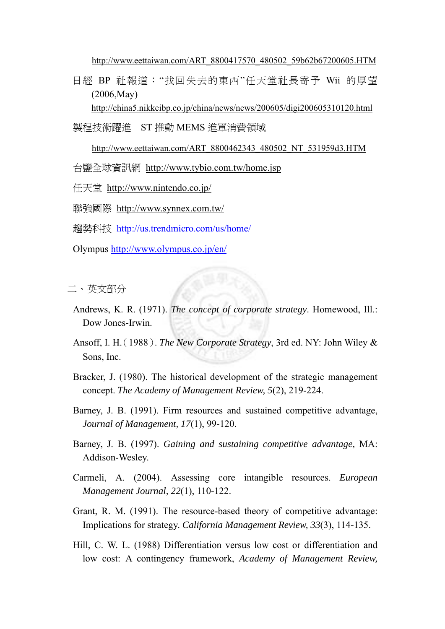http://www.eettaiwan.com/ART\_8800417570\_480502\_59b62b67200605.HTM

日經 BP 社報道:"找回失去的東西"任天堂社長寄予 Wii 的厚望 (2006,May)

http://china5.nikkeibp.co.jp/china/news/news/200605/digi200605310120.html

製程技術躍進 ST 推動 MEMS 進軍消費領域

http://www.eettaiwan.com/ART\_8800462343\_480502\_NT\_531959d3.HTM

台鹽全球資訊網 http://www.tybio.com.tw/home.jsp

任天堂 http://www.nintendo.co.jp/

聯強國際 http://www.synnex.com.tw/

趨勢科技 http://us.trendmicro.com/us/home/

Olympus http://www.olympus.co.jp/en/

二、 英文部分

- Andrews, K. R. (1971). *The concept of corporate strategy*. Homewood, Ill.: Dow Jones-Irwin.
- Ansoff, I. H.(1988). *The New Corporate Strategy*, 3rd ed. NY: John Wiley & Sons, Inc.
- Bracker, J. (1980). The historical development of the strategic management concept. *The Academy of Management Review, 5*(2), 219-224.
- Barney, J. B. (1991). Firm resources and sustained competitive advantage, *Journal of Management, 17*(1), 99-120.
- Barney, J. B. (1997). *Gaining and sustaining competitive advantage,* MA: Addison-Wesley.
- Carmeli, A. (2004). Assessing core intangible resources. *European Management Journal, 22*(1), 110-122.
- Grant, R. M. (1991). The resource-based theory of competitive advantage: Implications for strategy. *California Management Review, 33*(3), 114-135.
- Hill, C. W. L. (1988) Differentiation versus low cost or differentiation and low cost: A contingency framework, *Academy of Management Review,*